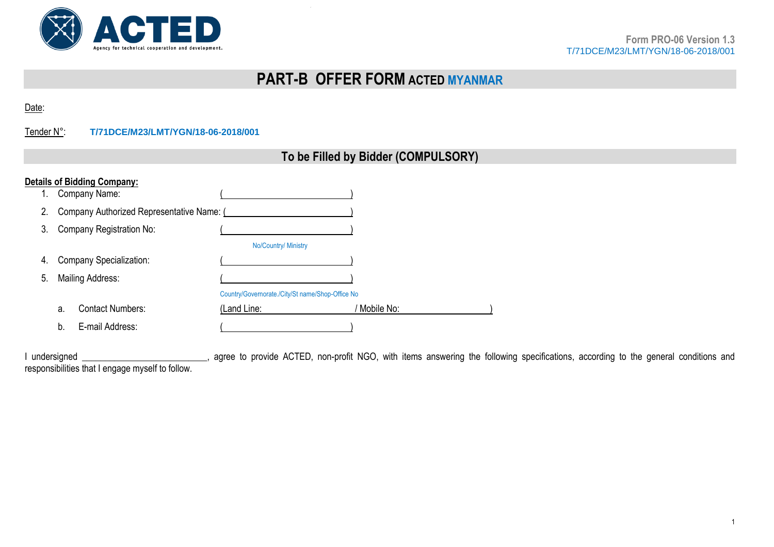

# **PART-B OFFER FORM ACTED MYANMAR**

Date:

## Tender N°: **T/71DCE/M23/LMT/YGN/18-06-2018/001**

| To be Filled by Bidder (COMPULSORY) |  |
|-------------------------------------|--|
|-------------------------------------|--|

|    | <b>Details of Bidding Company:</b>        |                                                  |              |
|----|-------------------------------------------|--------------------------------------------------|--------------|
|    | Company Name:                             |                                                  |              |
| 2. | Company Authorized Representative Name: ( |                                                  |              |
| 3. | Company Registration No:                  |                                                  |              |
|    |                                           | <b>No/Country/ Ministry</b>                      |              |
| 4. | <b>Company Specialization:</b>            |                                                  |              |
| 5. | Mailing Address:                          |                                                  |              |
|    |                                           | Country/Governorate./City/St name/Shop-Office No |              |
|    | <b>Contact Numbers:</b><br>a.             | (Land Line:                                      | ' Mobile No: |
|    | E-mail Address:<br>b.                     |                                                  |              |

Interstigance of provide ACTED, non-profit NGO, with items answering the following specifications, according to the general conditions and responsibilities that I engage myself to follow.